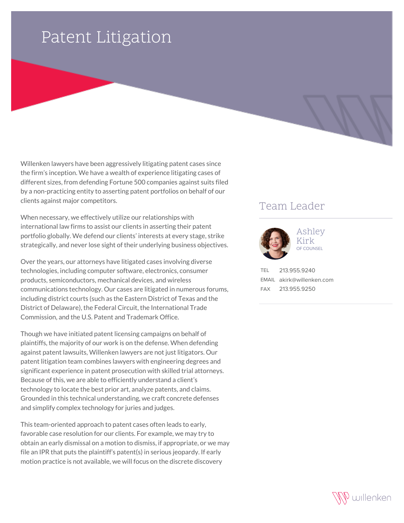## Patent Litigation

Willenken lawyers have been aggressively litigating patent cases since the firm's inception. We have a wealth of experience litigating cases of different sizes, from defending Fortune 500 companies against suits filed by a non-practicing entity to asserting patent portfolios on behalf of our clients against major competitors.

When necessary, we effectively utilize our relationships with international law firms to assist our clients in asserting their patent portfolio globally. We defend our clients' interests at every stage, strike strategically, and never lose sight of their underlying business objectives.

Over the years, our attorneys have litigated cases involving diverse technologies, including computer software, electronics, consumer products, semiconductors, mechanical devices, and wireless communications technology. Our cases are litigated in numerous forums, including district courts (such as the Eastern District of Texas and the District of Delaware), the Federal Circuit, the International Trade Commission, and the U.S. Patent and Trademark Office.

Though we have initiated patent licensing campaigns on behalf of plaintiffs, the majority of our work is on the defense. When defending against patent lawsuits, Willenken lawyers are not just litigators. Our patent litigation team combines lawyers with engineering degrees and significant experience in patent prosecution with skilled trial attorneys. Because of this, we are able to efficiently understand a client's technology to locate the best prior art, analyze patents, and claims. Grounded in this technical understanding, we craft concrete defenses and simplify complex technology for juries and judges.

This team-oriented approach to patent cases often leads to early, favorable case resolution for our clients. For example, we may try to obtain an early dismissal on a motion to dismiss, if appropriate, or we may file an IPR that puts the plaintiff's patent(s) in serious jeopardy. If early motion practice is not available, we will focus on the discrete discovery

## Team Leader



Ashley Kirk OF COUNSEL

TEL 213.955.9240 EMAIL akirk@willenken.com FAX 213.955.9250